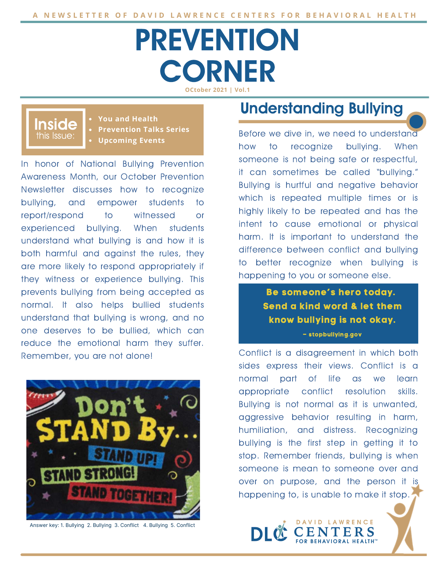# **PREVENTION CORNER OCtober 2021 | Vol.1**

### this Issue: Inside

**You and Health Prevention Talks Series Upcoming Events**

In honor of National Bullying Prevention Awareness Month, our October Prevention Newsletter discusses how to recognize bullying, and empower students to report/respond to witnessed or experienced bullying. When students understand what bullying is and how it is both harmful and against the rules, they are more likely to respond appropriately if they witness or experience bullying. This prevents bullying from being accepted as normal. It also helps bullied students understand that bullying is wrong, and no one deserves to be bullied, which can reduce the emotional harm they suffer. Remember, you are not alone!



Answer key: 1. Bullying 2. Bullying 3. Conflict 4. Bullying 5. Conflict

### Understanding Bullying

Before we dive in, we need to understand how to recognize bullying. When someone is not being safe or respectful, it can sometimes be called "bullying." Bullying is hurtful and negative behavior which is repeated multiple times or is highly likely to be repeated and has the intent to cause emotional or physical harm. It is important to understand the difference between conflict and bullying to better recognize when bullying is happening to you or someone else.

> Be someone's hero today. Send a kind word & let them know bullying is not okay.

#### – stopbullying.gov

Conflict is a disagreement in which both sides express their views. Conflict is a normal part of life as we learn appropriate conflict resolution skills. Bullying is not normal as it is unwanted, aggressive behavior resulting in harm, humiliation, and distress. Recognizing bullying is the first step in getting it to stop. Remember friends, bullying is when someone is mean to someone over and over on purpose, and the person it is happening to, is unable to make it stop.